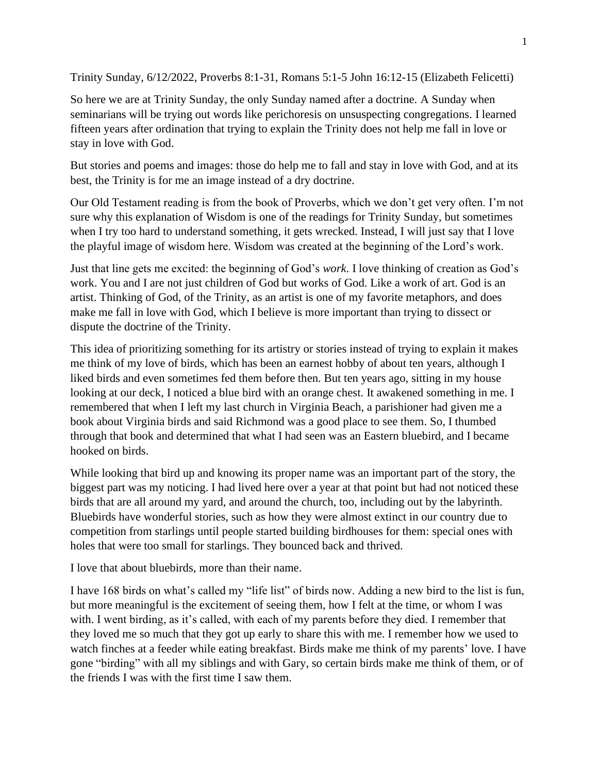Trinity Sunday, 6/12/2022, Proverbs 8:1-31, Romans 5:1-5 John 16:12-15 (Elizabeth Felicetti)

So here we are at Trinity Sunday, the only Sunday named after a doctrine. A Sunday when seminarians will be trying out words like perichoresis on unsuspecting congregations. I learned fifteen years after ordination that trying to explain the Trinity does not help me fall in love or stay in love with God.

But stories and poems and images: those do help me to fall and stay in love with God, and at its best, the Trinity is for me an image instead of a dry doctrine.

Our Old Testament reading is from the book of Proverbs, which we don't get very often. I'm not sure why this explanation of Wisdom is one of the readings for Trinity Sunday, but sometimes when I try too hard to understand something, it gets wrecked. Instead, I will just say that I love the playful image of wisdom here. Wisdom was created at the beginning of the Lord's work.

Just that line gets me excited: the beginning of God's *work*. I love thinking of creation as God's work. You and I are not just children of God but works of God. Like a work of art. God is an artist. Thinking of God, of the Trinity, as an artist is one of my favorite metaphors, and does make me fall in love with God, which I believe is more important than trying to dissect or dispute the doctrine of the Trinity.

This idea of prioritizing something for its artistry or stories instead of trying to explain it makes me think of my love of birds, which has been an earnest hobby of about ten years, although I liked birds and even sometimes fed them before then. But ten years ago, sitting in my house looking at our deck, I noticed a blue bird with an orange chest. It awakened something in me. I remembered that when I left my last church in Virginia Beach, a parishioner had given me a book about Virginia birds and said Richmond was a good place to see them. So, I thumbed through that book and determined that what I had seen was an Eastern bluebird, and I became hooked on birds.

While looking that bird up and knowing its proper name was an important part of the story, the biggest part was my noticing. I had lived here over a year at that point but had not noticed these birds that are all around my yard, and around the church, too, including out by the labyrinth. Bluebirds have wonderful stories, such as how they were almost extinct in our country due to competition from starlings until people started building birdhouses for them: special ones with holes that were too small for starlings. They bounced back and thrived.

I love that about bluebirds, more than their name.

I have 168 birds on what's called my "life list" of birds now. Adding a new bird to the list is fun, but more meaningful is the excitement of seeing them, how I felt at the time, or whom I was with. I went birding, as it's called, with each of my parents before they died. I remember that they loved me so much that they got up early to share this with me. I remember how we used to watch finches at a feeder while eating breakfast. Birds make me think of my parents' love. I have gone "birding" with all my siblings and with Gary, so certain birds make me think of them, or of the friends I was with the first time I saw them.